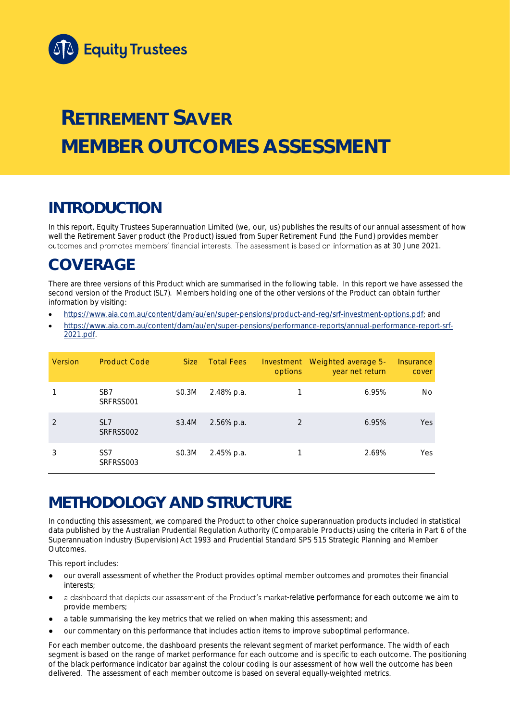

# **RETIREMENT SAVER MEMBER OUTCOMES ASSESSMENT**

## **INTRODUCTION**

In this report, Equity Trustees Superannuation Limited (we, our, us) publishes the results of our annual assessment of how well the Retirement Saver product (the Product) issued from Super Retirement Fund (the Fund) provides member outcomes and promotes members' financial interests. The assessment is based on information as at 30 June 2021.

## **COVERAGE**

There are three versions of this Product which are summarised in the following table. In this report we have assessed the second version of the Product (SL7). Members holding one of the other versions of the Product can obtain further information by visiting:

- [https://www.aia.com.au/content/dam/au/en/super-pensions/product-and-reg/srf-investment-options.pdf;](https://www.aia.com.au/content/dam/au/en/super-pensions/product-and-reg/srf-investment-options.pdf) and
- [https://www.aia.com.au/content/dam/au/en/super-pensions/performance-reports/annual-performance-report-srf-](https://www.aia.com.au/content/dam/au/en/super-pensions/performance-reports/annual-performance-report-srf-2021.pdf)[2021.pdf.](https://www.aia.com.au/content/dam/au/en/super-pensions/performance-reports/annual-performance-report-srf-2021.pdf)

| <b>Version</b> | <b>Product Code</b>          | Size:  | <b>Total Fees</b> | Investment<br>options | Weighted average 5-<br>year net return | Insurance<br>cover |
|----------------|------------------------------|--------|-------------------|-----------------------|----------------------------------------|--------------------|
|                | SB <sub>7</sub><br>SRFRSS001 | \$0.3M | 2.48% p.a.        |                       | 6.95%                                  | No                 |
| $\mathfrak{D}$ | SI <sub>7</sub><br>SRFRSS002 | \$3.4M | 2.56% p.a.        | $\mathfrak{D}$        | 6.95%                                  | Yes                |
| 3              | SS <sub>7</sub><br>SRFRSS003 | \$0.3M | 2.45% p.a.        |                       | 2.69%                                  | Yes                |

## **METHODOLOGY AND STRUCTURE**

In conducting this assessment, we compared the Product to other choice superannuation products included in statistical data published by the Australian Prudential Regulation Authority (Comparable Products) using the criteria in Part 6 of the *Superannuation Industry (Supervision) Act 1993* and Prudential Standard SPS 515 *Strategic Planning and Member Outcomes*.

This report includes:

- our overall assessment of whether the Product provides optimal member outcomes and promotes their financial interests;
- a dashboard that depicts our assessment of the Product's market-relative performance for each outcome we aim to provide members;
- a table summarising the key metrics that we relied on when making this assessment; and
- our commentary on this performance that includes action items to improve suboptimal performance.

For each member outcome, the dashboard presents the relevant segment of market performance. The width of each segment is based on the range of market performance for each outcome and is specific to each outcome. The positioning of the black performance indicator bar against the colour coding is our assessment of how well the outcome has been delivered. The assessment of each member outcome is based on several equally-weighted metrics.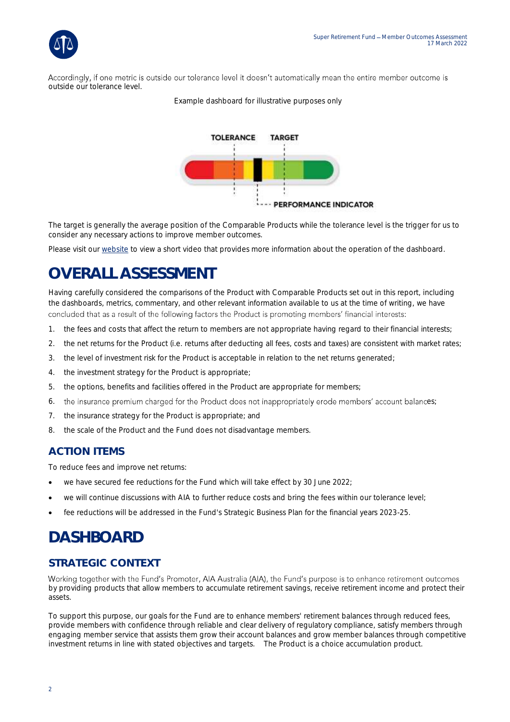Accordingly, if one metric is outside our tolerance level it doesn't automatically mean the entire member outcome is outside our tolerance level.



*Example dashboard for illustrative purposes only*

The target is generally the average position of the Comparable Products while the tolerance level is the trigger for us to consider any necessary actions to improve member outcomes.

Please visit our [website](https://www.eqt.com.au/superannuation) to view a short video that provides more information about the operation of the dashboard.

## **OVERALL ASSESSMENT**

Having carefully considered the comparisons of the Product with Comparable Products set out in this report, including the dashboards, metrics, commentary, and other relevant information available to us at the time of writing, we have concluded that as a result of the following factors the Product is promoting members' financial interests:

- 1. the fees and costs that affect the return to members are not appropriate having regard to their financial interests;
- 2. the net returns for the Product (i.e. returns after deducting all fees, costs and taxes) are consistent with market rates;
- 3. the level of investment risk for the Product is acceptable in relation to the net returns generated;
- 4. the investment strategy for the Product is appropriate;
- 5. the options, benefits and facilities offered in the Product are appropriate for members;
- 6. the insurance premium charged for the Product does not inappropriately erode members' account balances;
- 7. the insurance strategy for the Product is appropriate; and
- 8. the scale of the Product and the Fund does not disadvantage members.

### **ACTION ITEMS**

To reduce fees and improve net returns:

- we have secured fee reductions for the Fund which will take effect by 30 June 2022;
- we will continue discussions with AIA to further reduce costs and bring the fees within our tolerance level;
- fee reductions will be addressed in the Fund's Strategic Business Plan for the financial years 2023-25.

## **DASHBOARD**

## **STRATEGIC CONTEXT**

Working together with the Fund's Promoter, AIA Australia (AIA), the Fund's purpose is to enhance retirement outcomes by providing products that allow members to accumulate retirement savings, receive retirement income and protect their assets.

To support this purpose, our goals for the Fund are to enhance members' retirement balances through reduced fees, provide members with confidence through reliable and clear delivery of regulatory compliance, satisfy members through engaging member service that assists them grow their account balances and grow member balances through competitive investment returns in line with stated objectives and targets. The Product is a choice accumulation product.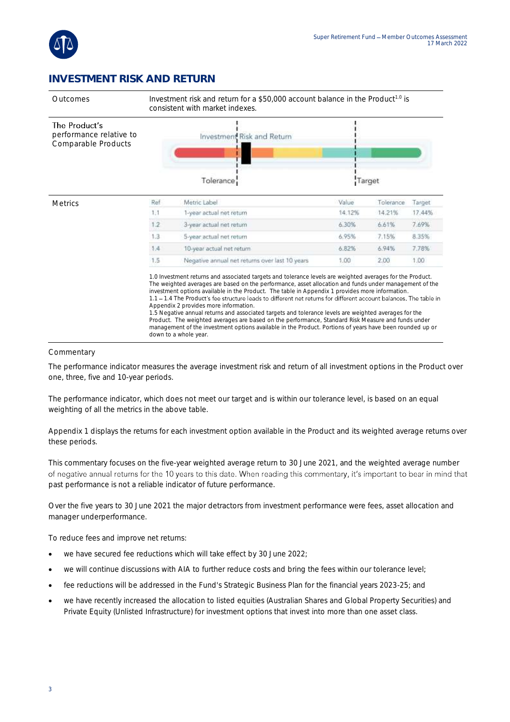

### **INVESTMENT RISK AND RETURN**



#### Commentary

The performance indicator measures the average investment risk and return of all investment options in the Product over one, three, five and 10-year periods.

The performance indicator, which does not meet our target and is within our tolerance level, is based on an equal weighting of all the metrics in the above table.

Appendix 1 displays the returns for each investment option available in the Product and its weighted average returns over these periods.

This commentary focuses on the five-year weighted average return to 30 June 2021, and the weighted average number of negative annual returns for the 10 years to this date. When reading this commentary, it's important to bear in mind that past performance is not a reliable indicator of future performance.

Over the five years to 30 June 2021 the major detractors from investment performance were fees, asset allocation and manager underperformance.

To reduce fees and improve net returns:

- we have secured fee reductions which will take effect by 30 June 2022;
- we will continue discussions with AIA to further reduce costs and bring the fees within our tolerance level;
- fee reductions will be addressed in the Fund's Strategic Business Plan for the financial years 2023-25; and
- we have recently increased the allocation to listed equities (Australian Shares and Global Property Securities) and Private Equity (Unlisted Infrastructure) for investment options that invest into more than one asset class.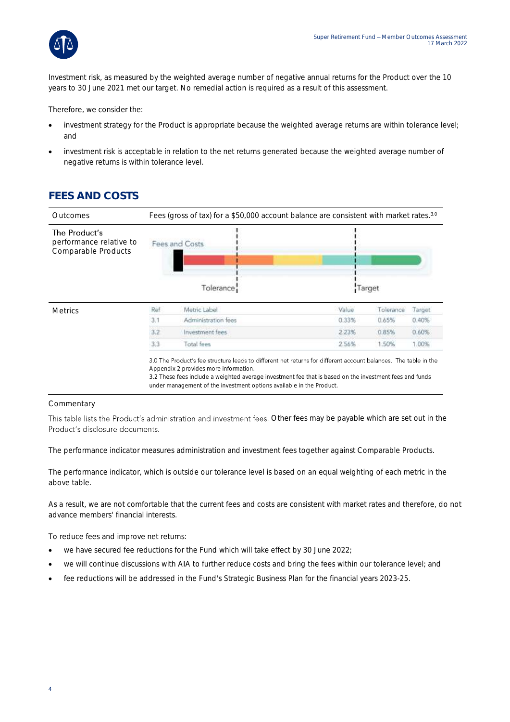

Investment risk, as measured by the weighted average number of negative annual returns for the Product over the 10 years to 30 June 2021 met our target. No remedial action is required as a result of this assessment.

Therefore, we consider the:

- investment strategy for the Product is appropriate because the weighted average returns are within tolerance level; and
- investment risk is acceptable in relation to the net returns generated because the weighted average number of negative returns is within tolerance level.

## **FEES AND COSTS**

| Fees (gross of tax) for a \$50,000 account balance are consistent with market rates. <sup>3.0</sup> |                     |                             |           |        |  |
|-----------------------------------------------------------------------------------------------------|---------------------|-----------------------------|-----------|--------|--|
|                                                                                                     |                     |                             |           |        |  |
|                                                                                                     |                     |                             |           |        |  |
| Ref                                                                                                 | Metric Label        | Value                       | Tolerance | Target |  |
| 3.1                                                                                                 | Administration fees | 0.33%                       | 0.65%     | 0.40%  |  |
| 3.2                                                                                                 | Investment fees     | 2.23%                       | 0.85%     | 0.60%  |  |
| 3.3                                                                                                 | Total fees          | 2.56%                       | 1.50%     | 1.00%  |  |
|                                                                                                     |                     | Fees and Costs<br>Tolerance |           | Target |  |

#### Commentary

This table lists the Product's administration and investment fees. Other fees may be payable which are set out in the Product's disclosure documents.

The performance indicator measures administration and investment fees together against Comparable Products.

The performance indicator, which is outside our tolerance level is based on an equal weighting of each metric in the above table.

As a result, we are not comfortable that the current fees and costs are consistent with market rates and therefore, do not advance members' financial interests.

To reduce fees and improve net returns:

- we have secured fee reductions for the Fund which will take effect by 30 June 2022;
- we will continue discussions with AIA to further reduce costs and bring the fees within our tolerance level; and
- fee reductions will be addressed in the Fund's Strategic Business Plan for the financial years 2023-25.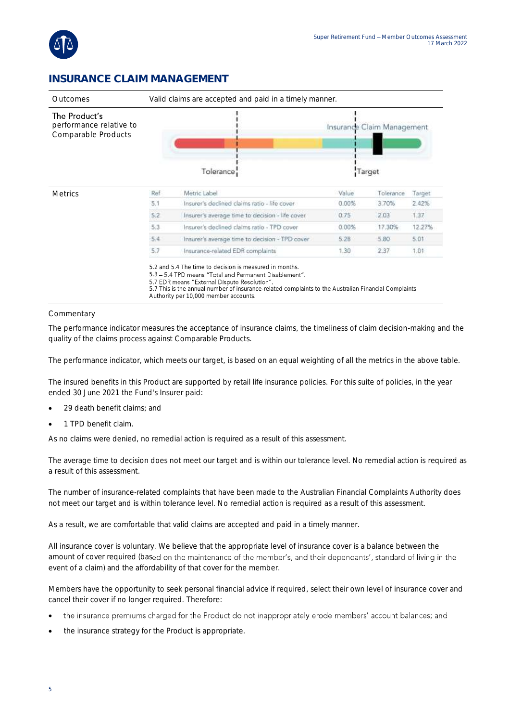

### **INSURANCE CLAIM MANAGEMENT**

| Outcomes                                                        | Valid claims are accepted and paid in a timely manner. |                                                 |       |                            |        |  |
|-----------------------------------------------------------------|--------------------------------------------------------|-------------------------------------------------|-------|----------------------------|--------|--|
| The Product's<br>performance relative to<br>Comparable Products |                                                        |                                                 |       | Insurance Claim Management |        |  |
|                                                                 |                                                        | Tolerance:                                      |       | Target                     |        |  |
| <b>Metrics</b>                                                  | Ref                                                    | Metric Label                                    | Value | Tolerance                  | Target |  |
|                                                                 | 5.1                                                    | Insurer's declined claims ratio - life cover.   | 0.00% | 3.70%                      | 2.42%  |  |
|                                                                 | 5.2                                                    | Insurer's average time to decision - life cover | 0.75  | 2.03                       | 1.37   |  |
|                                                                 | 5.3                                                    | Insurer's declined claims ratio - TPD cover.    | 0.00% | 17.30%                     | 12.27% |  |
|                                                                 | 5.4                                                    | Insurer's average time to decision - TPD cover  | 5.28  | 5.80                       | 5.01   |  |
|                                                                 | 5.7                                                    | Insurance-related EDR complaints                | 1.30  | 2.37                       | 1.01   |  |

#### Commentary

The performance indicator measures the acceptance of insurance claims, the timeliness of claim decision-making and the quality of the claims process against Comparable Products.

The performance indicator, which meets our target, is based on an equal weighting of all the metrics in the above table.

The insured benefits in this Product are supported by retail life insurance policies. For this suite of policies, in the year ended 30 June 2021 the Fund's Insurer paid:

- 29 death benefit claims; and
- 1 TPD benefit claim.

As no claims were denied, no remedial action is required as a result of this assessment.

The average time to decision does not meet our target and is within our tolerance level. No remedial action is required as a result of this assessment.

The number of insurance-related complaints that have been made to the Australian Financial Complaints Authority does not meet our target and is within tolerance level. No remedial action is required as a result of this assessment.

As a result, we are comfortable that valid claims are accepted and paid in a timely manner.

All insurance cover is voluntary. We believe that the appropriate level of insurance cover is a balance between the amount of cover required (based on the maintenance of the member's, and their dependants', standard of living in the event of a claim) and the affordability of that cover for the member.

Members have the opportunity to seek personal financial advice if required, select their own level of insurance cover and cancel their cover if no longer required. Therefore:

- the insurance premiums charged for the Product do not inappropriately erode members' account balances; and •
- the insurance strategy for the Product is appropriate.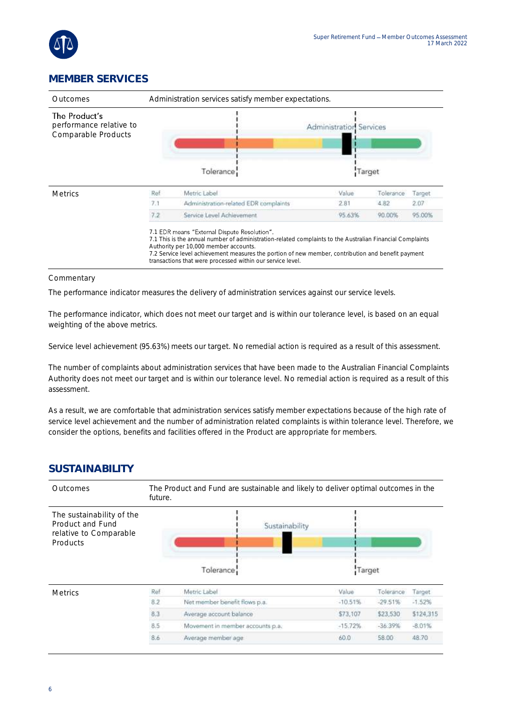

## **MEMBER SERVICES**

| Administration services satisfy member expectations.<br>Outcomes |     |                                                                                                                                                                                                                                                                                                                                                                        |                                          |           |        |
|------------------------------------------------------------------|-----|------------------------------------------------------------------------------------------------------------------------------------------------------------------------------------------------------------------------------------------------------------------------------------------------------------------------------------------------------------------------|------------------------------------------|-----------|--------|
| The Product's<br>performance relative to<br>Comparable Products  |     | Tolerance:                                                                                                                                                                                                                                                                                                                                                             | <b>Administration Services</b><br>Target |           |        |
| <b>Metrics</b>                                                   | Ref | Metric Label                                                                                                                                                                                                                                                                                                                                                           | Value                                    | Tolerance | Target |
|                                                                  | 7.1 | Administration-related EDR complaints                                                                                                                                                                                                                                                                                                                                  | 2.81                                     | 4.82      | 2.07   |
|                                                                  | 7.2 | Service Level Achievement                                                                                                                                                                                                                                                                                                                                              | 95.63%                                   | 90.00%    | 95.00% |
|                                                                  |     | 7.1 EDR means "External Dispute Resolution".<br>7.1 This is the annual number of administration-related complaints to the Australian Financial Complaints<br>Authority per 10,000 member accounts.<br>7.2 Service level achievement measures the portion of new member, contribution and benefit payment<br>transactions that were processed within our service level. |                                          |           |        |

#### Commentary

The performance indicator measures the delivery of administration services against our service levels.

The performance indicator, which does not meet our target and is within our tolerance level, is based on an equal weighting of the above metrics.

Service level achievement (95.63%) meets our target. No remedial action is required as a result of this assessment.

The number of complaints about administration services that have been made to the Australian Financial Complaints Authority does not meet our target and is within our tolerance level. No remedial action is required as a result of this assessment.

As a result, we are comfortable that administration services satisfy member expectations because of the high rate of service level achievement and the number of administration related complaints is within tolerance level. Therefore, we consider the options, benefits and facilities offered in the Product are appropriate for members.

### **SUSTAINABILITY**

| <b>Outcomes</b>                                                                            | The Product and Fund are sustainable and likely to deliver optimal outcomes in the<br>future. |                                  |           |           |           |  |
|--------------------------------------------------------------------------------------------|-----------------------------------------------------------------------------------------------|----------------------------------|-----------|-----------|-----------|--|
| The sustainability of the<br>Product and Fund<br>relative to Comparable<br><b>Products</b> |                                                                                               | Sustainability<br>Tolerance      | Target    |           |           |  |
| <b>Metrics</b>                                                                             | Ref                                                                                           | Metric Label                     | Value     | Tolerance | Target.   |  |
|                                                                                            | 8.2                                                                                           | Net member benefit flows p.a.    | $-10.51%$ | $-29.51%$ | $-1.52%$  |  |
|                                                                                            | 8.3                                                                                           | Average account balance          | \$73,107  | \$23,530  | \$124,315 |  |
|                                                                                            | 8.5                                                                                           | Movement in member accounts p.a. | $-15.72%$ | $-36.39%$ | $-8.01%$  |  |
|                                                                                            | 8.6                                                                                           | Average member age               | 60.0      | 58.00     | 48.70     |  |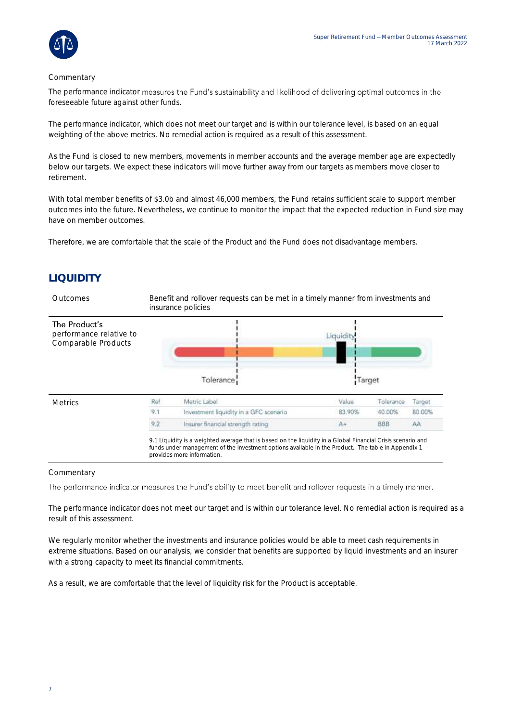

#### **Commentary**

The performance indicator measures the Fund's sustainability and likelihood of delivering optimal outcomes in the foreseeable future against other funds.

The performance indicator, which does not meet our target and is within our tolerance level, is based on an equal weighting of the above metrics. No remedial action is required as a result of this assessment.

As the Fund is closed to new members, movements in member accounts and the average member age are expectedly below our targets. We expect these indicators will move further away from our targets as members move closer to retirement.

With total member benefits of \$3.0b and almost 46,000 members, the Fund retains sufficient scale to support member outcomes into the future. Nevertheless, we continue to monitor the impact that the expected reduction in Fund size may have on member outcomes.

Therefore, we are comfortable that the scale of the Product and the Fund does not disadvantage members.

### **LIQUIDITY**



#### **Commentary**

The performance indicator measures the Fund's ability to meet benefit and rollover requests in a timely manner.

The performance indicator does not meet our target and is within our tolerance level. No remedial action is required as a result of this assessment.

We regularly monitor whether the investments and insurance policies would be able to meet cash requirements in extreme situations. Based on our analysis, we consider that benefits are supported by liquid investments and an insurer with a strong capacity to meet its financial commitments.

As a result, we are comfortable that the level of liquidity risk for the Product is acceptable.